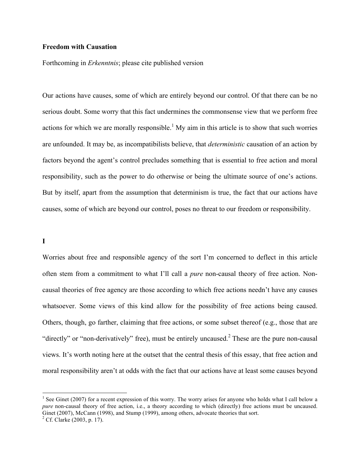## **Freedom with Causation**

Forthcoming in *Erkenntnis*; please cite published version

Our actions have causes, some of which are entirely beyond our control. Of that there can be no serious doubt. Some worry that this fact undermines the commonsense view that we perform free actions for which we are morally responsible.<sup>1</sup> My aim in this article is to show that such worries are unfounded. It may be, as incompatibilists believe, that *deterministic* causation of an action by factors beyond the agent's control precludes something that is essential to free action and moral responsibility, such as the power to do otherwise or being the ultimate source of one's actions. But by itself, apart from the assumption that determinism is true, the fact that our actions have causes, some of which are beyond our control, poses no threat to our freedom or responsibility.

#### **I**

Worries about free and responsible agency of the sort I'm concerned to deflect in this article often stem from a commitment to what I'll call a *pure* non-causal theory of free action. Noncausal theories of free agency are those according to which free actions needn't have any causes whatsoever. Some views of this kind allow for the possibility of free actions being caused. Others, though, go farther, claiming that free actions, or some subset thereof (e.g., those that are "directly" or "non-derivatively" free), must be entirely uncaused.<sup>2</sup> These are the pure non-causal views. It's worth noting here at the outset that the central thesis of this essay, that free action and moral responsibility aren't at odds with the fact that our actions have at least some causes beyond

<sup>&</sup>lt;sup>1</sup> See Ginet (2007) for a recent expression of this worry. The worry arises for anyone who holds what I call below a *pure* non-causal theory of free action, i.e., a theory according to which (directly) free actions must be uncaused. Ginet (2007), McCann (1998), and Stump (1999), among others, advocate theories that sort.

 $2^2$  Cf. Clarke (2003, p. 17).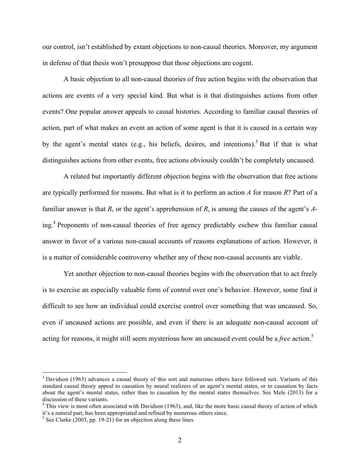our control, isn't established by extant objections to non-causal theories. Moreover, my argument in defense of that thesis won't presuppose that those objections are cogent.

A basic objection to all non-causal theories of free action begins with the observation that actions are events of a very special kind. But what is it that distinguishes actions from other events? One popular answer appeals to causal histories. According to familiar causal theories of action, part of what makes an event an action of some agent is that it is caused in a certain way by the agent's mental states (e.g., his beliefs, desires, and intentions).<sup>3</sup> But if that is what distinguishes actions from other events, free actions obviously couldn't be completely uncaused.

A related but importantly different objection begins with the observation that free actions are typically performed for reasons. But what is it to perform an action *A* for reason *R*? Part of a familiar answer is that *R*, or the agent's apprehension of *R*, is among the causes of the agent's *A*ing.4 Proponents of non-causal theories of free agency predictably eschew this familiar causal answer in favor of a various non-causal accounts of reasons explanations of action. However, it is a matter of considerable controversy whether any of these non-causal accounts are viable.

Yet another objection to non-causal theories begins with the observation that to act freely is to exercise an especially valuable form of control over one's behavior. However, some find it difficult to see how an individual could exercise control over something that was uncaused. So, even if uncaused actions are possible, and even if there is an adequate non-causal account of acting for reasons, it might still seem mysterious how an uncaused event could be a *free* action.5

<sup>&</sup>lt;sup>3</sup> Davidson (1963) advances a causal theory of this sort and numerous others have followed suit. Variants of this standard causal theory appeal to causation by neural realizers of an agent's mental states, or to causation by facts about the agent's mental states, rather than to causation by the mental states themselves. See Mele (2013) for a discussion of these variants.

<sup>&</sup>lt;sup>4</sup> This view is most often associated with Davidson (1963), and, like the more basic causal theory of action of which it's a natural part, has been appropriated and refined by numerous others since.

 $<sup>5</sup>$  See Clarke (2003, pp. 19-21) for an objection along these lines.</sup>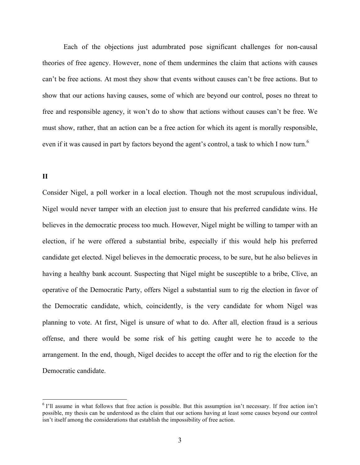Each of the objections just adumbrated pose significant challenges for non-causal theories of free agency. However, none of them undermines the claim that actions with causes can't be free actions. At most they show that events without causes can't be free actions. But to show that our actions having causes, some of which are beyond our control, poses no threat to free and responsible agency, it won't do to show that actions without causes can't be free. We must show, rather, that an action can be a free action for which its agent is morally responsible, even if it was caused in part by factors beyond the agent's control, a task to which I now turn.<sup>6</sup>

## **II**

Consider Nigel, a poll worker in a local election. Though not the most scrupulous individual, Nigel would never tamper with an election just to ensure that his preferred candidate wins. He believes in the democratic process too much. However, Nigel might be willing to tamper with an election, if he were offered a substantial bribe, especially if this would help his preferred candidate get elected. Nigel believes in the democratic process, to be sure, but he also believes in having a healthy bank account. Suspecting that Nigel might be susceptible to a bribe, Clive, an operative of the Democratic Party, offers Nigel a substantial sum to rig the election in favor of the Democratic candidate, which, coincidently, is the very candidate for whom Nigel was planning to vote. At first, Nigel is unsure of what to do. After all, election fraud is a serious offense, and there would be some risk of his getting caught were he to accede to the arrangement. In the end, though, Nigel decides to accept the offer and to rig the election for the Democratic candidate.

 $6$  I'll assume in what follows that free action is possible. But this assumption isn't necessary. If free action isn't possible, my thesis can be understood as the claim that our actions having at least some causes beyond our control isn't itself among the considerations that establish the impossibility of free action.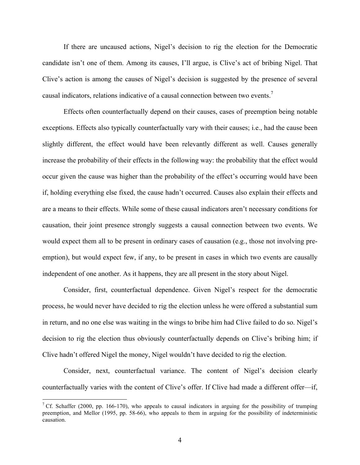If there are uncaused actions, Nigel's decision to rig the election for the Democratic candidate isn't one of them. Among its causes, I'll argue, is Clive's act of bribing Nigel. That Clive's action is among the causes of Nigel's decision is suggested by the presence of several causal indicators, relations indicative of a causal connection between two events.<sup>7</sup>

Effects often counterfactually depend on their causes, cases of preemption being notable exceptions. Effects also typically counterfactually vary with their causes; i.e., had the cause been slightly different, the effect would have been relevantly different as well. Causes generally increase the probability of their effects in the following way: the probability that the effect would occur given the cause was higher than the probability of the effect's occurring would have been if, holding everything else fixed, the cause hadn't occurred. Causes also explain their effects and are a means to their effects. While some of these causal indicators aren't necessary conditions for causation, their joint presence strongly suggests a causal connection between two events. We would expect them all to be present in ordinary cases of causation (e.g., those not involving preemption), but would expect few, if any, to be present in cases in which two events are causally independent of one another. As it happens, they are all present in the story about Nigel.

Consider, first, counterfactual dependence. Given Nigel's respect for the democratic process, he would never have decided to rig the election unless he were offered a substantial sum in return, and no one else was waiting in the wings to bribe him had Clive failed to do so. Nigel's decision to rig the election thus obviously counterfactually depends on Clive's bribing him; if Clive hadn't offered Nigel the money, Nigel wouldn't have decided to rig the election.

Consider, next, counterfactual variance. The content of Nigel's decision clearly counterfactually varies with the content of Clive's offer. If Clive had made a different offer—if,

<sup>&</sup>lt;sup>7</sup> Cf. Schaffer (2000, pp. 166-170), who appeals to causal indicators in arguing for the possibility of trumping preemption, and Mellor (1995, pp. 58-66), who appeals to them in arguing for the possibility of indeterministic causation.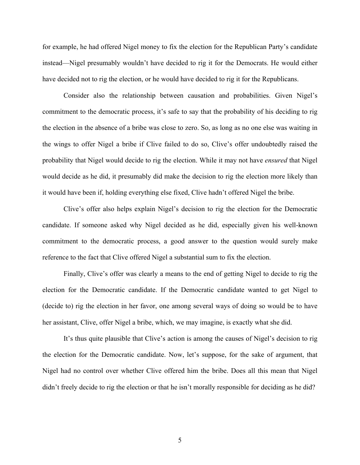for example, he had offered Nigel money to fix the election for the Republican Party's candidate instead—Nigel presumably wouldn't have decided to rig it for the Democrats. He would either have decided not to rig the election, or he would have decided to rig it for the Republicans.

Consider also the relationship between causation and probabilities. Given Nigel's commitment to the democratic process, it's safe to say that the probability of his deciding to rig the election in the absence of a bribe was close to zero. So, as long as no one else was waiting in the wings to offer Nigel a bribe if Clive failed to do so, Clive's offer undoubtedly raised the probability that Nigel would decide to rig the election. While it may not have *ensured* that Nigel would decide as he did, it presumably did make the decision to rig the election more likely than it would have been if, holding everything else fixed, Clive hadn't offered Nigel the bribe.

Clive's offer also helps explain Nigel's decision to rig the election for the Democratic candidate. If someone asked why Nigel decided as he did, especially given his well-known commitment to the democratic process, a good answer to the question would surely make reference to the fact that Clive offered Nigel a substantial sum to fix the election.

Finally, Clive's offer was clearly a means to the end of getting Nigel to decide to rig the election for the Democratic candidate. If the Democratic candidate wanted to get Nigel to (decide to) rig the election in her favor, one among several ways of doing so would be to have her assistant, Clive, offer Nigel a bribe, which, we may imagine, is exactly what she did.

It's thus quite plausible that Clive's action is among the causes of Nigel's decision to rig the election for the Democratic candidate. Now, let's suppose, for the sake of argument, that Nigel had no control over whether Clive offered him the bribe. Does all this mean that Nigel didn't freely decide to rig the election or that he isn't morally responsible for deciding as he did?

5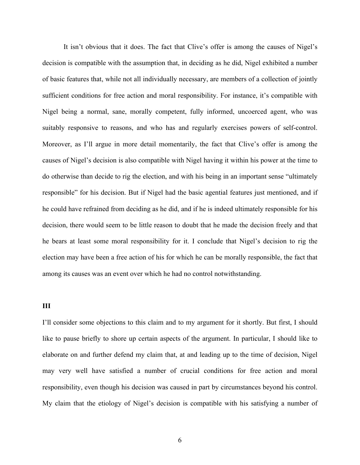It isn't obvious that it does. The fact that Clive's offer is among the causes of Nigel's decision is compatible with the assumption that, in deciding as he did, Nigel exhibited a number of basic features that, while not all individually necessary, are members of a collection of jointly sufficient conditions for free action and moral responsibility. For instance, it's compatible with Nigel being a normal, sane, morally competent, fully informed, uncoerced agent, who was suitably responsive to reasons, and who has and regularly exercises powers of self-control. Moreover, as I'll argue in more detail momentarily, the fact that Clive's offer is among the causes of Nigel's decision is also compatible with Nigel having it within his power at the time to do otherwise than decide to rig the election, and with his being in an important sense "ultimately responsible" for his decision. But if Nigel had the basic agential features just mentioned, and if he could have refrained from deciding as he did, and if he is indeed ultimately responsible for his decision, there would seem to be little reason to doubt that he made the decision freely and that he bears at least some moral responsibility for it. I conclude that Nigel's decision to rig the election may have been a free action of his for which he can be morally responsible, the fact that among its causes was an event over which he had no control notwithstanding.

### **III**

I'll consider some objections to this claim and to my argument for it shortly. But first, I should like to pause briefly to shore up certain aspects of the argument. In particular, I should like to elaborate on and further defend my claim that, at and leading up to the time of decision, Nigel may very well have satisfied a number of crucial conditions for free action and moral responsibility, even though his decision was caused in part by circumstances beyond his control. My claim that the etiology of Nigel's decision is compatible with his satisfying a number of

6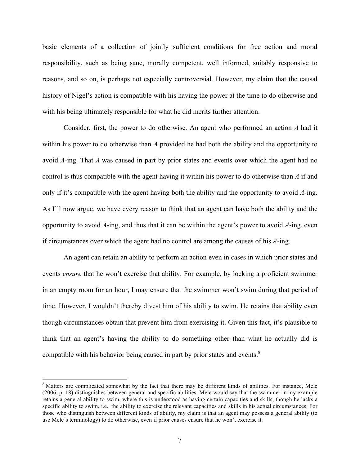basic elements of a collection of jointly sufficient conditions for free action and moral responsibility, such as being sane, morally competent, well informed, suitably responsive to reasons, and so on, is perhaps not especially controversial. However, my claim that the causal history of Nigel's action is compatible with his having the power at the time to do otherwise and with his being ultimately responsible for what he did merits further attention.

Consider, first, the power to do otherwise. An agent who performed an action *A* had it within his power to do otherwise than *A* provided he had both the ability and the opportunity to avoid *A*-ing. That *A* was caused in part by prior states and events over which the agent had no control is thus compatible with the agent having it within his power to do otherwise than *A* if and only if it's compatible with the agent having both the ability and the opportunity to avoid *A*-ing. As I'll now argue, we have every reason to think that an agent can have both the ability and the opportunity to avoid *A*-ing, and thus that it can be within the agent's power to avoid *A*-ing, even if circumstances over which the agent had no control are among the causes of his *A*-ing.

An agent can retain an ability to perform an action even in cases in which prior states and events *ensure* that he won't exercise that ability. For example, by locking a proficient swimmer in an empty room for an hour, I may ensure that the swimmer won't swim during that period of time. However, I wouldn't thereby divest him of his ability to swim. He retains that ability even though circumstances obtain that prevent him from exercising it. Given this fact, it's plausible to think that an agent's having the ability to do something other than what he actually did is compatible with his behavior being caused in part by prior states and events.<sup>8</sup>

<sup>&</sup>lt;sup>8</sup> Matters are complicated somewhat by the fact that there may be different kinds of abilities. For instance, Mele (2006, p. 18) distinguishes between general and specific abilities. Mele would say that the swimmer in my example retains a general ability to swim, where this is understood as having certain capacities and skills, though he lacks a specific ability to swim, i.e., the ability to exercise the relevant capacities and skills in his actual circumstances. For those who distinguish between different kinds of ability, my claim is that an agent may possess a general ability (to use Mele's terminology) to do otherwise, even if prior causes ensure that he won't exercise it.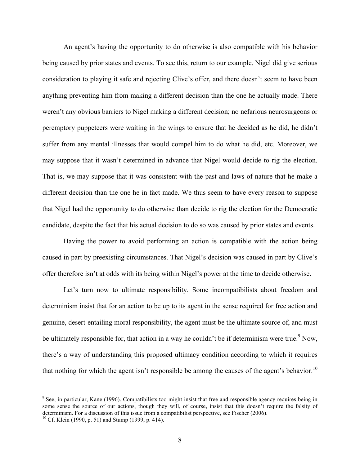An agent's having the opportunity to do otherwise is also compatible with his behavior being caused by prior states and events. To see this, return to our example. Nigel did give serious consideration to playing it safe and rejecting Clive's offer, and there doesn't seem to have been anything preventing him from making a different decision than the one he actually made. There weren't any obvious barriers to Nigel making a different decision; no nefarious neurosurgeons or peremptory puppeteers were waiting in the wings to ensure that he decided as he did, he didn't suffer from any mental illnesses that would compel him to do what he did, etc. Moreover, we may suppose that it wasn't determined in advance that Nigel would decide to rig the election. That is, we may suppose that it was consistent with the past and laws of nature that he make a different decision than the one he in fact made. We thus seem to have every reason to suppose that Nigel had the opportunity to do otherwise than decide to rig the election for the Democratic candidate, despite the fact that his actual decision to do so was caused by prior states and events.

Having the power to avoid performing an action is compatible with the action being caused in part by preexisting circumstances. That Nigel's decision was caused in part by Clive's offer therefore isn't at odds with its being within Nigel's power at the time to decide otherwise.

Let's turn now to ultimate responsibility. Some incompatibilists about freedom and determinism insist that for an action to be up to its agent in the sense required for free action and genuine, desert-entailing moral responsibility, the agent must be the ultimate source of, and must be ultimately responsible for, that action in a way he couldn't be if determinism were true.<sup>9</sup> Now, there's a way of understanding this proposed ultimacy condition according to which it requires that nothing for which the agent isn't responsible be among the causes of the agent's behavior.<sup>10</sup>

<sup>&</sup>lt;sup>9</sup> See, in particular, Kane (1996). Compatibilists too might insist that free and responsible agency requires being in some sense the source of our actions, though they will, of course, insist that this doesn't require the falsity of determinism. For a discussion of this issue from a compatibilist perspective, see Fischer (2006).

 $10$  Cf. Klein (1990, p. 51) and Stump (1999, p. 414).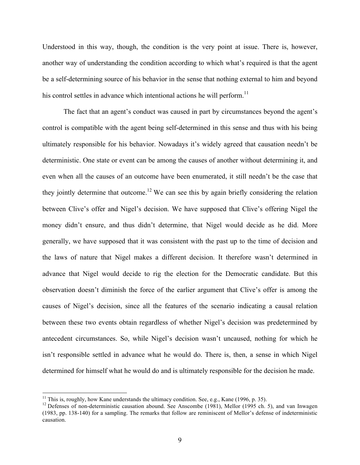Understood in this way, though, the condition is the very point at issue. There is, however, another way of understanding the condition according to which what's required is that the agent be a self-determining source of his behavior in the sense that nothing external to him and beyond his control settles in advance which intentional actions he will perform.<sup>11</sup>

The fact that an agent's conduct was caused in part by circumstances beyond the agent's control is compatible with the agent being self-determined in this sense and thus with his being ultimately responsible for his behavior. Nowadays it's widely agreed that causation needn't be deterministic. One state or event can be among the causes of another without determining it, and even when all the causes of an outcome have been enumerated, it still needn't be the case that they jointly determine that outcome.<sup>12</sup> We can see this by again briefly considering the relation between Clive's offer and Nigel's decision. We have supposed that Clive's offering Nigel the money didn't ensure, and thus didn't determine, that Nigel would decide as he did. More generally, we have supposed that it was consistent with the past up to the time of decision and the laws of nature that Nigel makes a different decision. It therefore wasn't determined in advance that Nigel would decide to rig the election for the Democratic candidate. But this observation doesn't diminish the force of the earlier argument that Clive's offer is among the causes of Nigel's decision, since all the features of the scenario indicating a causal relation between these two events obtain regardless of whether Nigel's decision was predetermined by antecedent circumstances. So, while Nigel's decision wasn't uncaused, nothing for which he isn't responsible settled in advance what he would do. There is, then, a sense in which Nigel determined for himself what he would do and is ultimately responsible for the decision he made.

<sup>&</sup>lt;sup>11</sup> This is, roughly, how Kane understands the ultimacy condition. See, e.g., Kane (1996, p. 35).<br><sup>12</sup> Defenses of non-deterministic causation abound. See Anscombe (1981), Mellor (1995 ch. 5), and van Inwagen (1983, pp. 138-140) for a sampling. The remarks that follow are reminiscent of Mellor's defense of indeterministic causation.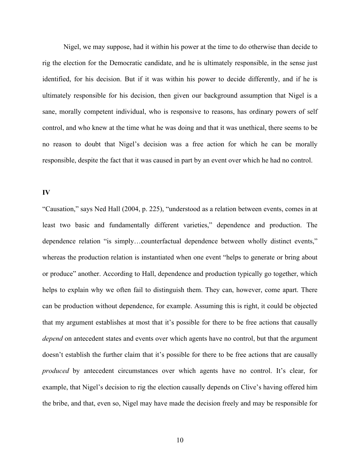Nigel, we may suppose, had it within his power at the time to do otherwise than decide to rig the election for the Democratic candidate, and he is ultimately responsible, in the sense just identified, for his decision. But if it was within his power to decide differently, and if he is ultimately responsible for his decision, then given our background assumption that Nigel is a sane, morally competent individual, who is responsive to reasons, has ordinary powers of self control, and who knew at the time what he was doing and that it was unethical, there seems to be no reason to doubt that Nigel's decision was a free action for which he can be morally responsible, despite the fact that it was caused in part by an event over which he had no control.

#### **IV**

"Causation," says Ned Hall (2004, p. 225), "understood as a relation between events, comes in at least two basic and fundamentally different varieties," dependence and production. The dependence relation "is simply…counterfactual dependence between wholly distinct events," whereas the production relation is instantiated when one event "helps to generate or bring about or produce" another. According to Hall, dependence and production typically go together, which helps to explain why we often fail to distinguish them. They can, however, come apart. There can be production without dependence, for example. Assuming this is right, it could be objected that my argument establishes at most that it's possible for there to be free actions that causally *depend* on antecedent states and events over which agents have no control, but that the argument doesn't establish the further claim that it's possible for there to be free actions that are causally *produced* by antecedent circumstances over which agents have no control. It's clear, for example, that Nigel's decision to rig the election causally depends on Clive's having offered him the bribe, and that, even so, Nigel may have made the decision freely and may be responsible for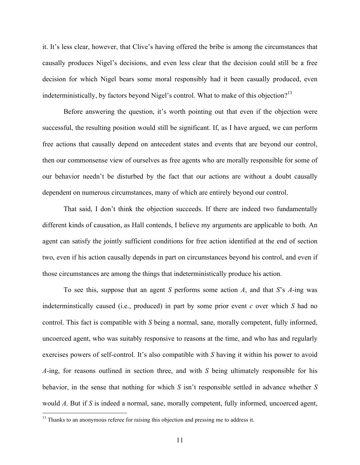it. It's less clear, however, that Clive's having offered the bribe is among the circumstances that causally produces Nigel's decisions, and even less clear that the decision could still be a free decision for which Nigel bears some moral responsibly had it been casually produced, even indeterministically, by factors beyond Nigel's control. What to make of this objection?<sup>13</sup>

Before answering the question, it's worth pointing out that even if the objection were successful, the resulting position would still be significant. If, as I have argued, we can perform free actions that causally depend on antecedent states and events that are beyond our control, then our commonsense view of ourselves as free agents who are morally responsible for some of our behavior needn't be disturbed by the fact that our actions are without a doubt causally dependent on numerous circumstances, many of which are entirely beyond our control.

That said, I don't think the objection succeeds. If there are indeed two fundamentally different kinds of causation, as Hall contends, I believe my arguments are applicable to both. An agent can satisfy the jointly sufficient conditions for free action identified at the end of section two, even if his action causally depends in part on circumstances beyond his control, and even if those circumstances are among the things that indeterministically produce his action.

To see this, suppose that an agent *S* performs some action *A*, and that *S*'s *A*-ing was indeterminstically caused (i.e., produced) in part by some prior event *c* over which *S* had no control. This fact is compatible with *S* being a normal, sane, morally competent, fully informed, uncoerced agent, who was suitably responsive to reasons at the time, and who has and regularly exercises powers of self-control. It's also compatible with *S* having it within his power to avoid *A*-ing, for reasons outlined in section three, and with *S* being ultimately responsible for his behavior, in the sense that nothing for which *S* isn't responsible settled in advance whether *S* would *A*. But if *S* is indeed a normal, sane, morally competent, fully informed, uncoerced agent,

<sup>&</sup>lt;sup>13</sup> Thanks to an anonymous referee for raising this objection and pressing me to address it.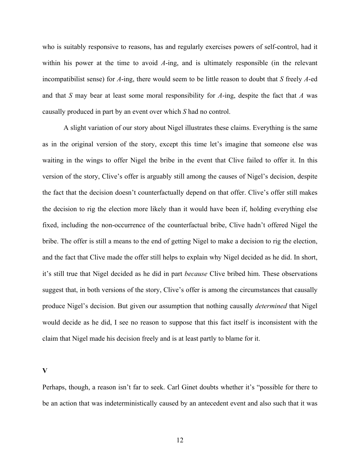who is suitably responsive to reasons, has and regularly exercises powers of self-control, had it within his power at the time to avoid *A*-ing, and is ultimately responsible (in the relevant incompatibilist sense) for *A*-ing, there would seem to be little reason to doubt that *S* freely *A*-ed and that *S* may bear at least some moral responsibility for *A*-ing, despite the fact that *A* was causally produced in part by an event over which *S* had no control.

A slight variation of our story about Nigel illustrates these claims. Everything is the same as in the original version of the story, except this time let's imagine that someone else was waiting in the wings to offer Nigel the bribe in the event that Clive failed to offer it. In this version of the story, Clive's offer is arguably still among the causes of Nigel's decision, despite the fact that the decision doesn't counterfactually depend on that offer. Clive's offer still makes the decision to rig the election more likely than it would have been if, holding everything else fixed, including the non-occurrence of the counterfactual bribe, Clive hadn't offered Nigel the bribe. The offer is still a means to the end of getting Nigel to make a decision to rig the election, and the fact that Clive made the offer still helps to explain why Nigel decided as he did. In short, it's still true that Nigel decided as he did in part *because* Clive bribed him. These observations suggest that, in both versions of the story, Clive's offer is among the circumstances that causally produce Nigel's decision. But given our assumption that nothing causally *determined* that Nigel would decide as he did, I see no reason to suppose that this fact itself is inconsistent with the claim that Nigel made his decision freely and is at least partly to blame for it.

**V**

Perhaps, though, a reason isn't far to seek. Carl Ginet doubts whether it's "possible for there to be an action that was indeterministically caused by an antecedent event and also such that it was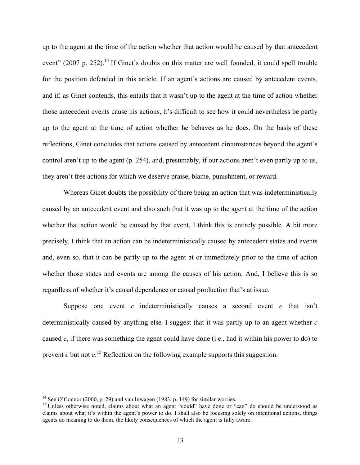up to the agent at the time of the action whether that action would be caused by that antecedent event" (2007 p. 252).<sup>14</sup> If Ginet's doubts on this matter are well founded, it could spell trouble for the position defended in this article. If an agent's actions are caused by antecedent events, and if, as Ginet contends, this entails that it wasn't up to the agent at the time of action whether those antecedent events cause his actions, it's difficult to see how it could nevertheless be partly up to the agent at the time of action whether he behaves as he does. On the basis of these reflections, Ginet concludes that actions caused by antecedent circumstances beyond the agent's control aren't up to the agent (p. 254), and, presumably, if our actions aren't even partly up to us, they aren't free actions for which we deserve praise, blame, punishment, or reward.

Whereas Ginet doubts the possibility of there being an action that was indeterministically caused by an antecedent event and also such that it was up to the agent at the time of the action whether that action would be caused by that event, I think this is entirely possible. A bit more precisely, I think that an action can be indeterministically caused by antecedent states and events and, even so, that it can be partly up to the agent at or immediately prior to the time of action whether those states and events are among the causes of his action. And, I believe this is so regardless of whether it's causal dependence or causal production that's at issue.

Suppose one event *c* indeterministically causes a second event *e* that isn't deterministically caused by anything else*.* I suggest that it was partly up to an agent whether *c* caused *e*, if there was something the agent could have done (i.e., had it within his power to do) to prevent  $e$  but not  $c$ <sup>15</sup>. Reflection on the following example supports this suggestion.

<sup>&</sup>lt;sup>14</sup> See O'Connor (2000, p. 29) and van Inwagen (1983, p. 149) for similar worries.<br><sup>15</sup> Unless otherwise noted, claims about what an agent "could" have done or "can" do should be understood as claims about what it's within the agent's power to do. I shall also be focusing solely on intentional actions, things agents do meaning to do them, the likely consequences of which the agent is fully aware.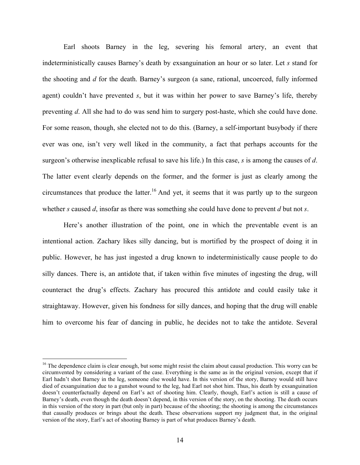Earl shoots Barney in the leg, severing his femoral artery, an event that indeterministically causes Barney's death by exsanguination an hour or so later. Let *s* stand for the shooting and *d* for the death. Barney's surgeon (a sane, rational, uncoerced, fully informed agent) couldn't have prevented *s*, but it was within her power to save Barney's life, thereby preventing *d*. All she had to do was send him to surgery post-haste, which she could have done. For some reason, though, she elected not to do this. (Barney, a self-important busybody if there ever was one, isn't very well liked in the community, a fact that perhaps accounts for the surgeon's otherwise inexplicable refusal to save his life.) In this case, *s* is among the causes of *d*. The latter event clearly depends on the former, and the former is just as clearly among the circumstances that produce the latter.<sup>16</sup> And yet, it seems that it was partly up to the surgeon whether *s* caused *d*, insofar as there was something she could have done to prevent *d* but not *s*.

Here's another illustration of the point, one in which the preventable event is an intentional action. Zachary likes silly dancing, but is mortified by the prospect of doing it in public. However, he has just ingested a drug known to indeterministically cause people to do silly dances. There is, an antidote that, if taken within five minutes of ingesting the drug, will counteract the drug's effects. Zachary has procured this antidote and could easily take it straightaway. However, given his fondness for silly dances, and hoping that the drug will enable him to overcome his fear of dancing in public, he decides not to take the antidote. Several

 $16$  The dependence claim is clear enough, but some might resist the claim about causal production. This worry can be circumvented by considering a variant of the case. Everything is the same as in the original version, except that if Earl hadn't shot Barney in the leg, someone else would have. In this version of the story, Barney would still have died of exsanguination due to a gunshot wound to the leg, had Earl not shot him. Thus, his death by exsanguination doesn't counterfactually depend on Earl's act of shooting him. Clearly, though, Earl's action is still a cause of Barney's death, even though the death doesn't depend, in this version of the story, on the shooting. The death occurs in this version of the story in part (but only in part) because of the shooting; the shooting is among the circumstances that causally produces or brings about the death. These observations support my judgment that, in the original version of the story, Earl's act of shooting Barney is part of what produces Barney's death.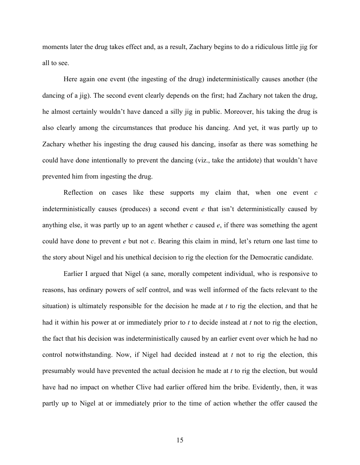moments later the drug takes effect and, as a result, Zachary begins to do a ridiculous little jig for all to see.

Here again one event (the ingesting of the drug) indeterministically causes another (the dancing of a jig). The second event clearly depends on the first; had Zachary not taken the drug, he almost certainly wouldn't have danced a silly jig in public. Moreover, his taking the drug is also clearly among the circumstances that produce his dancing. And yet, it was partly up to Zachary whether his ingesting the drug caused his dancing, insofar as there was something he could have done intentionally to prevent the dancing (viz., take the antidote) that wouldn't have prevented him from ingesting the drug.

Reflection on cases like these supports my claim that, when one event *c* indeterministically causes (produces) a second event *e* that isn't deterministically caused by anything else, it was partly up to an agent whether *c* caused *e*, if there was something the agent could have done to prevent *e* but not *c*. Bearing this claim in mind, let's return one last time to the story about Nigel and his unethical decision to rig the election for the Democratic candidate.

Earlier I argued that Nigel (a sane, morally competent individual, who is responsive to reasons, has ordinary powers of self control, and was well informed of the facts relevant to the situation) is ultimately responsible for the decision he made at *t* to rig the election, and that he had it within his power at or immediately prior to *t* to decide instead at *t* not to rig the election, the fact that his decision was indeterministically caused by an earlier event over which he had no control notwithstanding. Now, if Nigel had decided instead at *t* not to rig the election, this presumably would have prevented the actual decision he made at *t* to rig the election, but would have had no impact on whether Clive had earlier offered him the bribe. Evidently, then, it was partly up to Nigel at or immediately prior to the time of action whether the offer caused the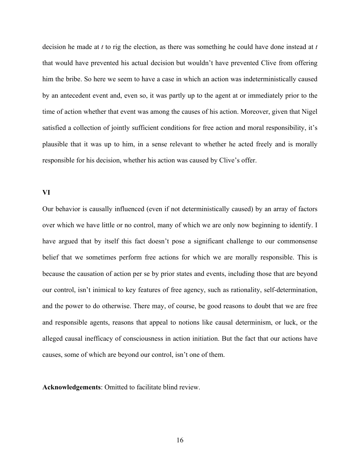decision he made at *t* to rig the election, as there was something he could have done instead at *t* that would have prevented his actual decision but wouldn't have prevented Clive from offering him the bribe. So here we seem to have a case in which an action was indeterministically caused by an antecedent event and, even so, it was partly up to the agent at or immediately prior to the time of action whether that event was among the causes of his action. Moreover, given that Nigel satisfied a collection of jointly sufficient conditions for free action and moral responsibility, it's plausible that it was up to him, in a sense relevant to whether he acted freely and is morally responsible for his decision, whether his action was caused by Clive's offer.

**VI**

Our behavior is causally influenced (even if not deterministically caused) by an array of factors over which we have little or no control, many of which we are only now beginning to identify. I have argued that by itself this fact doesn't pose a significant challenge to our commonsense belief that we sometimes perform free actions for which we are morally responsible. This is because the causation of action per se by prior states and events, including those that are beyond our control, isn't inimical to key features of free agency, such as rationality, self-determination, and the power to do otherwise. There may, of course, be good reasons to doubt that we are free and responsible agents, reasons that appeal to notions like causal determinism, or luck, or the alleged causal inefficacy of consciousness in action initiation. But the fact that our actions have causes, some of which are beyond our control, isn't one of them.

**Acknowledgements**: Omitted to facilitate blind review.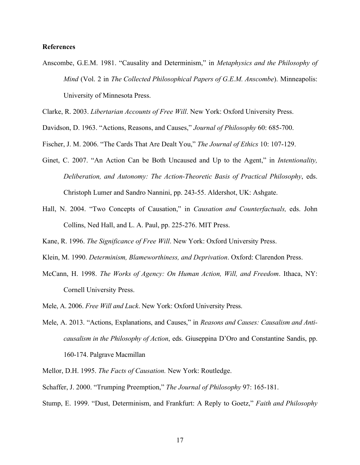# **References**

Anscombe, G.E.M. 1981. "Causality and Determinism," in *Metaphysics and the Philosophy of Mind* (Vol. 2 in *The Collected Philosophical Papers of G.E.M. Anscombe*). Minneapolis: University of Minnesota Press.

Clarke, R. 2003. *Libertarian Accounts of Free Will*. New York: Oxford University Press.

Davidson, D. 1963. "Actions, Reasons, and Causes," *Journal of Philosophy* 60: 685-700.

Fischer, J. M. 2006. "The Cards That Are Dealt You," *The Journal of Ethics* 10: 107-129.

- Ginet, C. 2007. "An Action Can be Both Uncaused and Up to the Agent," in *Intentionality, Deliberation, and Autonomy: The Action-Theoretic Basis of Practical Philosophy*, eds. Christoph Lumer and Sandro Nannini, pp. 243-55. Aldershot, UK: Ashgate.
- Hall, N. 2004. "Two Concepts of Causation," in *Causation and Counterfactuals,* eds. John Collins, Ned Hall, and L. A. Paul, pp. 225-276. MIT Press.

Kane, R. 1996. *The Significance of Free Will*. New York: Oxford University Press.

- Klein, M. 1990. *Determinism, Blameworthiness, and Deprivation*. Oxford: Clarendon Press.
- McCann, H. 1998. *The Works of Agency: On Human Action, Will, and Freedom*. Ithaca, NY: Cornell University Press.
- Mele, A. 2006. *Free Will and Luck*. New York: Oxford University Press.
- Mele, A. 2013. "Actions, Explanations, and Causes," in *Reasons and Causes: Causalism and Anticausalism in the Philosophy of Action*, eds. Giuseppina D'Oro and Constantine Sandis, pp. 160-174. Palgrave Macmillan
- Mellor, D.H. 1995. *The Facts of Causation.* New York: Routledge.
- Schaffer, J. 2000. "Trumping Preemption," *The Journal of Philosophy* 97: 165-181.

Stump, E. 1999. "Dust, Determinism, and Frankfurt: A Reply to Goetz," *Faith and Philosophy*